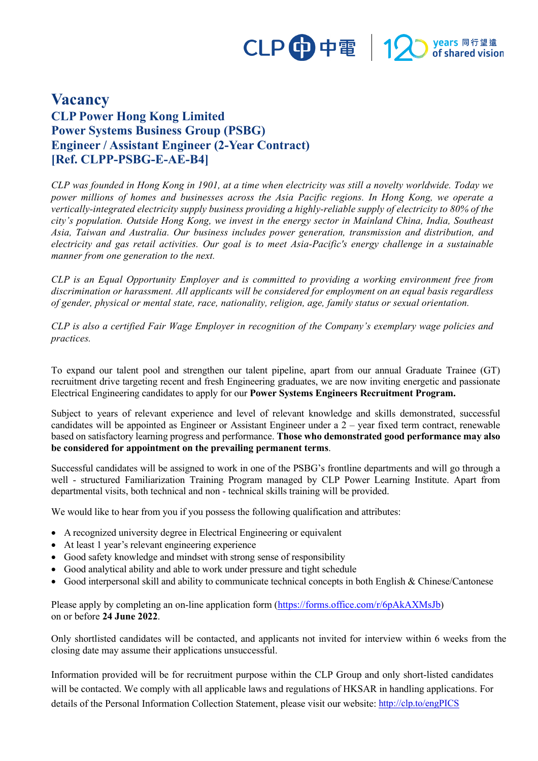## CLP 中電 | 12 Myears 同行望遠

## **Vacancy CLP Power Hong Kong Limited Power Systems Business Group (PSBG) Engineer / Assistant Engineer (2-Year Contract) [Ref. CLPP-PSBG-E-AE-B4]**

*CLP was founded in Hong Kong in 1901, at a time when electricity was still a novelty worldwide. Today we power millions of homes and businesses across the Asia Pacific regions. In Hong Kong, we operate a vertically-integrated electricity supply business providing a highly-reliable supply of electricity to 80% of the city's population. Outside Hong Kong, we invest in the energy sector in Mainland China, India, Southeast Asia, Taiwan and Australia. Our business includes power generation, transmission and distribution, and electricity and gas retail activities. Our goal is to meet Asia-Pacific's energy challenge in a sustainable manner from one generation to the next.*

*CLP is an Equal Opportunity Employer and is committed to providing a working environment free from discrimination or harassment. All applicants will be considered for employment on an equal basis regardless of gender, physical or mental state, race, nationality, religion, age, family status or sexual orientation.*

*CLP is also a certified Fair Wage Employer in recognition of the Company's exemplary wage policies and practices.*

To expand our talent pool and strengthen our talent pipeline, apart from our annual Graduate Trainee (GT) recruitment drive targeting recent and fresh Engineering graduates, we are now inviting energetic and passionate Electrical Engineering candidates to apply for our **Power Systems Engineers Recruitment Program.**

Subject to years of relevant experience and level of relevant knowledge and skills demonstrated, successful candidates will be appointed as Engineer or Assistant Engineer under a 2 – year fixed term contract, renewable based on satisfactory learning progress and performance. **Those who demonstrated good performance may also be considered for appointment on the prevailing permanent terms**.

Successful candidates will be assigned to work in one of the PSBG's frontline departments and will go through a well - structured Familiarization Training Program managed by CLP Power Learning Institute. Apart from departmental visits, both technical and non - technical skills training will be provided.

We would like to hear from you if you possess the following qualification and attributes:

- A recognized university degree in Electrical Engineering or equivalent
- At least 1 year's relevant engineering experience
- Good safety knowledge and mindset with strong sense of responsibility
- Good analytical ability and able to work under pressure and tight schedule
- Good interpersonal skill and ability to communicate technical concepts in both English & Chinese/Cantonese

Please apply by completing an on-line application form [\(https://forms.office.com/r/6pAkAXMsJb\)](https://forms.office.com/r/6pAkAXMsJb) on or before **24 June 2022**.

Only shortlisted candidates will be contacted, and applicants not invited for interview within 6 weeks from the closing date may assume their applications unsuccessful.

Information provided will be for recruitment purpose within the CLP Group and only short-listed candidates will be contacted. We comply with all applicable laws and regulations of HKSAR in handling applications. For details of the Personal Information Collection Statement, please visit our website:<http://clp.to/engPICS>